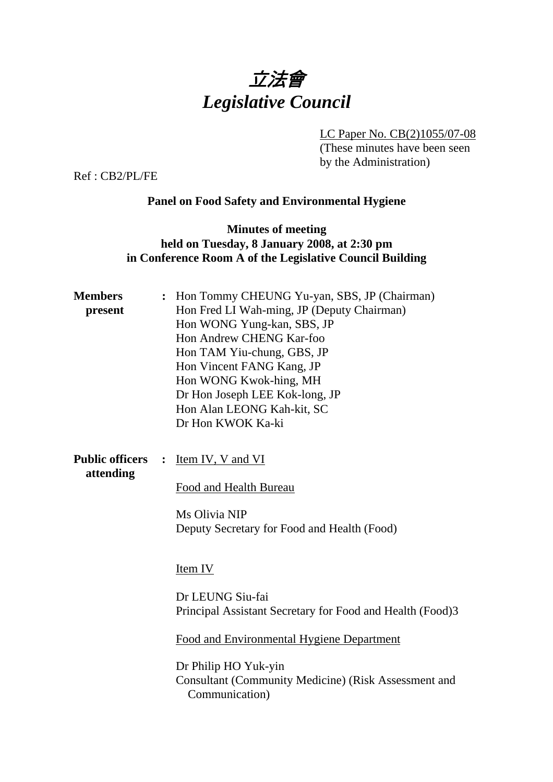

LC Paper No. CB(2)1055/07-08

(These minutes have been seen by the Administration)

Ref : CB2/PL/FE

# **Panel on Food Safety and Environmental Hygiene**

### **Minutes of meeting held on Tuesday, 8 January 2008, at 2:30 pm in Conference Room A of the Legislative Council Building**

| <b>Members</b><br>present           | Hon Tommy CHEUNG Yu-yan, SBS, JP (Chairman)<br>Hon Fred LI Wah-ming, JP (Deputy Chairman)<br>Hon WONG Yung-kan, SBS, JP<br>Hon Andrew CHENG Kar-foo<br>Hon TAM Yiu-chung, GBS, JP<br>Hon Vincent FANG Kang, JP<br>Hon WONG Kwok-hing, MH<br>Dr Hon Joseph LEE Kok-long, JP<br>Hon Alan LEONG Kah-kit, SC<br>Dr Hon KWOK Ka-ki |
|-------------------------------------|-------------------------------------------------------------------------------------------------------------------------------------------------------------------------------------------------------------------------------------------------------------------------------------------------------------------------------|
| <b>Public officers</b><br>attending | Item IV, V and VI<br>Food and Health Bureau<br>Ms Olivia NIP<br>Deputy Secretary for Food and Health (Food)                                                                                                                                                                                                                   |
|                                     | Item IV<br>Dr LEUNG Siu-fai<br>Principal Assistant Secretary for Food and Health (Food)3<br>Food and Environmental Hygiene Department<br>Dr Philip HO Yuk-yin<br><b>Consultant (Community Medicine) (Risk Assessment and</b><br>Communication)                                                                                |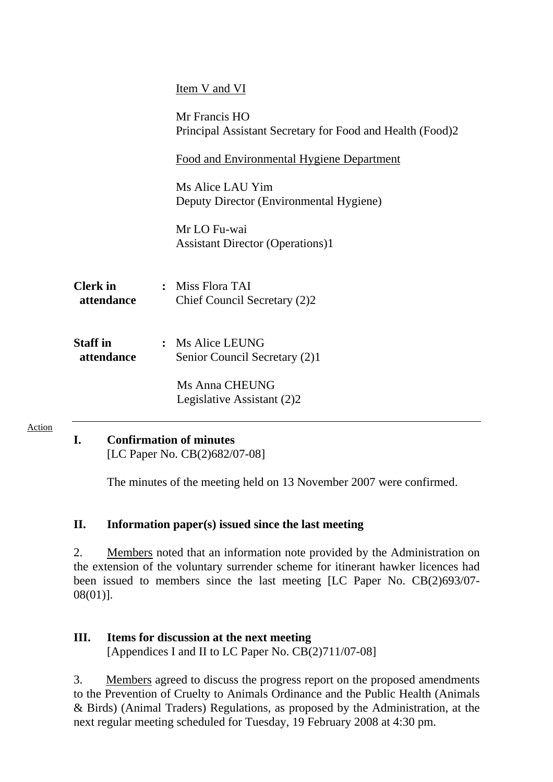|                               | Item V and VI                                                              |
|-------------------------------|----------------------------------------------------------------------------|
|                               | Mr Francis HO<br>Principal Assistant Secretary for Food and Health (Food)2 |
|                               | <b>Food and Environmental Hygiene Department</b>                           |
|                               | Ms Alice LAU Yim<br>Deputy Director (Environmental Hygiene)                |
|                               | Mr LO Fu-wai<br><b>Assistant Director (Operations)1</b>                    |
| <b>Clerk</b> in<br>attendance | : Miss Flora TAI<br>Chief Council Secretary (2)2                           |
| <b>Staff</b> in<br>attendance | : Ms Alice LEUNG<br>Senior Council Secretary (2)1                          |
|                               | Ms Anna CHEUNG<br>Legislative Assistant (2)2                               |
|                               |                                                                            |

## **I. Confirmation of minutes**

Action

[LC Paper No. CB(2)682/07-08]

The minutes of the meeting held on 13 November 2007 were confirmed.

### **II. Information paper(s) issued since the last meeting**

2. Members noted that an information note provided by the Administration on the extension of the voluntary surrender scheme for itinerant hawker licences had been issued to members since the last meeting [LC Paper No. CB(2)693/07- 08(01)].

### **III. Items for discussion at the next meeting**  [Appendices I and II to LC Paper No. CB(2)711/07-08]

3. Members agreed to discuss the progress report on the proposed amendments to the Prevention of Cruelty to Animals Ordinance and the Public Health (Animals & Birds) (Animal Traders) Regulations, as proposed by the Administration, at the next regular meeting scheduled for Tuesday, 19 February 2008 at 4:30 pm.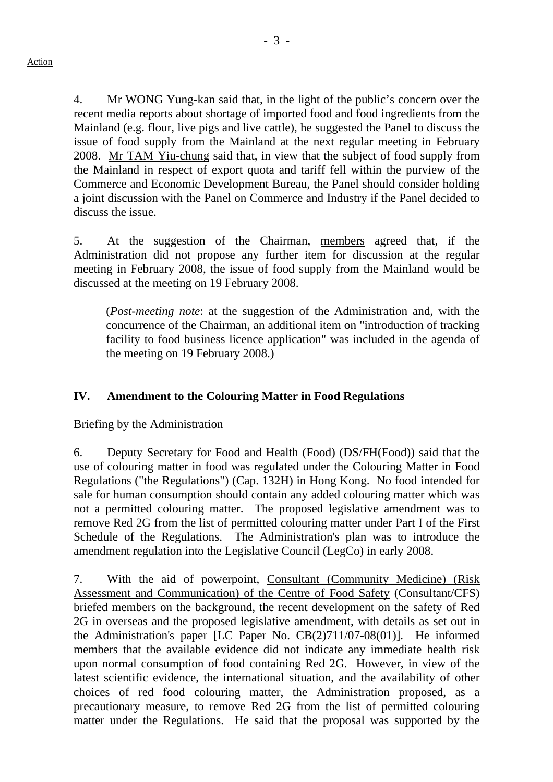4. Mr WONG Yung-kan said that, in the light of the public's concern over the recent media reports about shortage of imported food and food ingredients from the Mainland (e.g. flour, live pigs and live cattle), he suggested the Panel to discuss the issue of food supply from the Mainland at the next regular meeting in February 2008. Mr TAM Yiu-chung said that, in view that the subject of food supply from the Mainland in respect of export quota and tariff fell within the purview of the Commerce and Economic Development Bureau, the Panel should consider holding a joint discussion with the Panel on Commerce and Industry if the Panel decided to discuss the issue.

5. At the suggestion of the Chairman, members agreed that, if the Administration did not propose any further item for discussion at the regular meeting in February 2008, the issue of food supply from the Mainland would be discussed at the meeting on 19 February 2008.

(*Post-meeting note*: at the suggestion of the Administration and, with the concurrence of the Chairman, an additional item on "introduction of tracking facility to food business licence application" was included in the agenda of the meeting on 19 February 2008.)

## **IV. Amendment to the Colouring Matter in Food Regulations**

#### Briefing by the Administration

6. Deputy Secretary for Food and Health (Food) (DS/FH(Food)) said that the use of colouring matter in food was regulated under the Colouring Matter in Food Regulations ("the Regulations") (Cap. 132H) in Hong Kong. No food intended for sale for human consumption should contain any added colouring matter which was not a permitted colouring matter. The proposed legislative amendment was to remove Red 2G from the list of permitted colouring matter under Part I of the First Schedule of the Regulations. The Administration's plan was to introduce the amendment regulation into the Legislative Council (LegCo) in early 2008.

7. With the aid of powerpoint, Consultant (Community Medicine) (Risk Assessment and Communication) of the Centre of Food Safety (Consultant/CFS) briefed members on the background, the recent development on the safety of Red 2G in overseas and the proposed legislative amendment, with details as set out in the Administration's paper [LC Paper No. CB(2)711/07-08(01)]. He informed members that the available evidence did not indicate any immediate health risk upon normal consumption of food containing Red 2G. However, in view of the latest scientific evidence, the international situation, and the availability of other choices of red food colouring matter, the Administration proposed, as a precautionary measure, to remove Red 2G from the list of permitted colouring matter under the Regulations. He said that the proposal was supported by the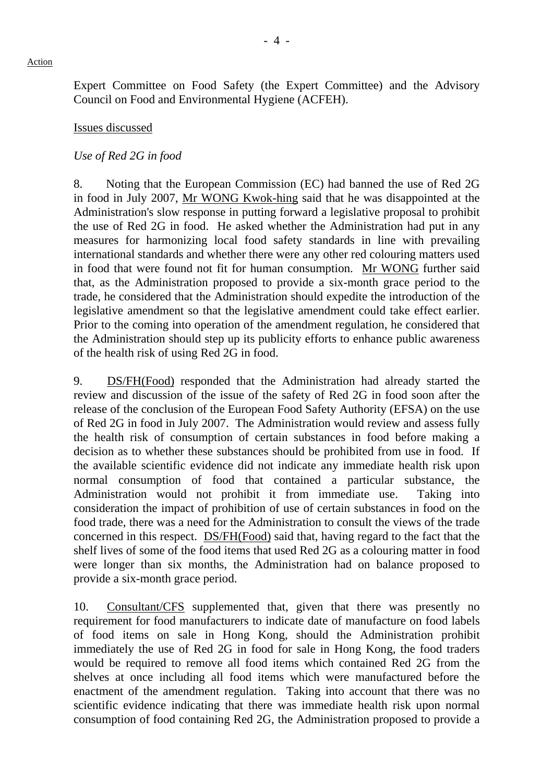Expert Committee on Food Safety (the Expert Committee) and the Advisory Council on Food and Environmental Hygiene (ACFEH).

#### Issues discussed

#### *Use of Red 2G in food*

8. Noting that the European Commission (EC) had banned the use of Red 2G in food in July 2007, Mr WONG Kwok-hing said that he was disappointed at the Administration's slow response in putting forward a legislative proposal to prohibit the use of Red 2G in food. He asked whether the Administration had put in any measures for harmonizing local food safety standards in line with prevailing international standards and whether there were any other red colouring matters used in food that were found not fit for human consumption. Mr WONG further said that, as the Administration proposed to provide a six-month grace period to the trade, he considered that the Administration should expedite the introduction of the legislative amendment so that the legislative amendment could take effect earlier. Prior to the coming into operation of the amendment regulation, he considered that the Administration should step up its publicity efforts to enhance public awareness of the health risk of using Red 2G in food.

9. DS/FH(Food) responded that the Administration had already started the review and discussion of the issue of the safety of Red 2G in food soon after the release of the conclusion of the European Food Safety Authority (EFSA) on the use of Red 2G in food in July 2007. The Administration would review and assess fully the health risk of consumption of certain substances in food before making a decision as to whether these substances should be prohibited from use in food. If the available scientific evidence did not indicate any immediate health risk upon normal consumption of food that contained a particular substance, the Administration would not prohibit it from immediate use. Taking into consideration the impact of prohibition of use of certain substances in food on the food trade, there was a need for the Administration to consult the views of the trade concerned in this respect. DS/FH(Food) said that, having regard to the fact that the shelf lives of some of the food items that used Red 2G as a colouring matter in food were longer than six months, the Administration had on balance proposed to provide a six-month grace period.

10. Consultant/CFS supplemented that, given that there was presently no requirement for food manufacturers to indicate date of manufacture on food labels of food items on sale in Hong Kong, should the Administration prohibit immediately the use of Red 2G in food for sale in Hong Kong, the food traders would be required to remove all food items which contained Red 2G from the shelves at once including all food items which were manufactured before the enactment of the amendment regulation. Taking into account that there was no scientific evidence indicating that there was immediate health risk upon normal consumption of food containing Red 2G, the Administration proposed to provide a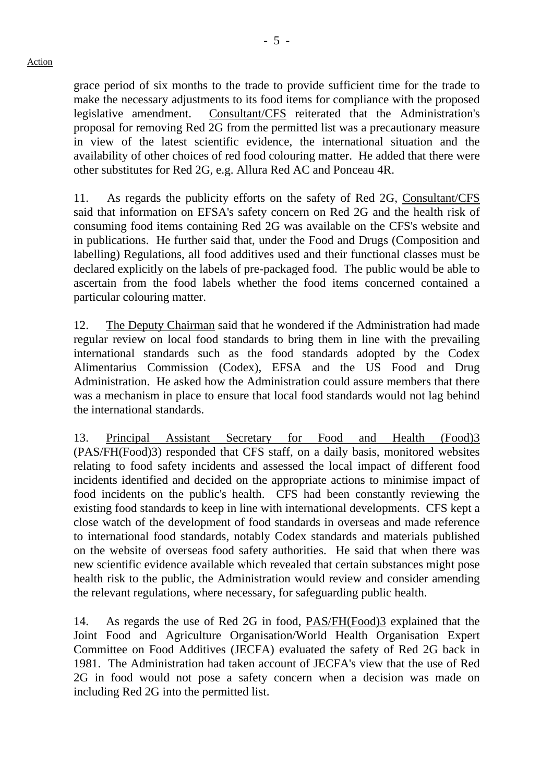grace period of six months to the trade to provide sufficient time for the trade to make the necessary adjustments to its food items for compliance with the proposed legislative amendment. Consultant/CFS reiterated that the Administration's proposal for removing Red 2G from the permitted list was a precautionary measure in view of the latest scientific evidence, the international situation and the availability of other choices of red food colouring matter. He added that there were other substitutes for Red 2G, e.g. Allura Red AC and Ponceau 4R.

11. As regards the publicity efforts on the safety of Red 2G, Consultant/CFS said that information on EFSA's safety concern on Red 2G and the health risk of consuming food items containing Red 2G was available on the CFS's website and in publications. He further said that, under the Food and Drugs (Composition and labelling) Regulations, all food additives used and their functional classes must be declared explicitly on the labels of pre-packaged food. The public would be able to ascertain from the food labels whether the food items concerned contained a particular colouring matter.

12. The Deputy Chairman said that he wondered if the Administration had made regular review on local food standards to bring them in line with the prevailing international standards such as the food standards adopted by the Codex Alimentarius Commission (Codex), EFSA and the US Food and Drug Administration. He asked how the Administration could assure members that there was a mechanism in place to ensure that local food standards would not lag behind the international standards.

13. Principal Assistant Secretary for Food and Health (Food)3 (PAS/FH(Food)3) responded that CFS staff, on a daily basis, monitored websites relating to food safety incidents and assessed the local impact of different food incidents identified and decided on the appropriate actions to minimise impact of food incidents on the public's health. CFS had been constantly reviewing the existing food standards to keep in line with international developments. CFS kept a close watch of the development of food standards in overseas and made reference to international food standards, notably Codex standards and materials published on the website of overseas food safety authorities. He said that when there was new scientific evidence available which revealed that certain substances might pose health risk to the public, the Administration would review and consider amending the relevant regulations, where necessary, for safeguarding public health.

14. As regards the use of Red 2G in food, PAS/FH(Food)3 explained that the Joint Food and Agriculture Organisation/World Health Organisation Expert Committee on Food Additives (JECFA) evaluated the safety of Red 2G back in 1981. The Administration had taken account of JECFA's view that the use of Red 2G in food would not pose a safety concern when a decision was made on including Red 2G into the permitted list.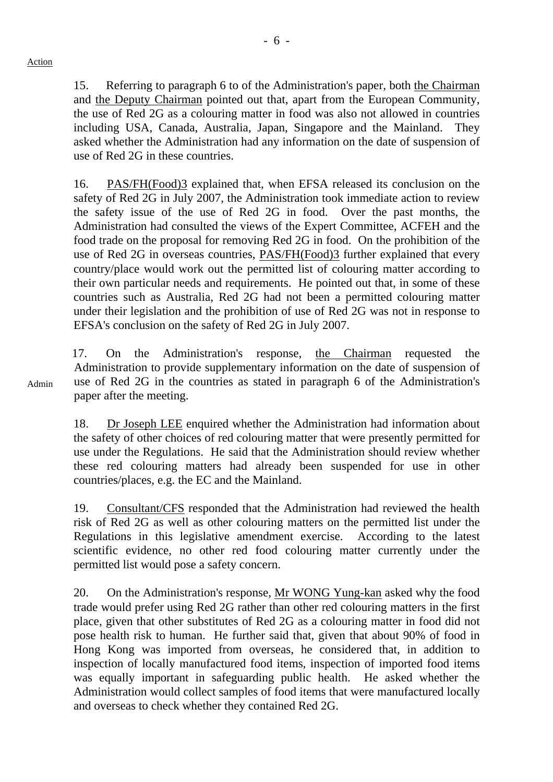15. Referring to paragraph 6 to of the Administration's paper, both the Chairman and the Deputy Chairman pointed out that, apart from the European Community, the use of Red 2G as a colouring matter in food was also not allowed in countries including USA, Canada, Australia, Japan, Singapore and the Mainland. They asked whether the Administration had any information on the date of suspension of use of Red 2G in these countries.

16. PAS/FH(Food)3 explained that, when EFSA released its conclusion on the safety of Red 2G in July 2007, the Administration took immediate action to review the safety issue of the use of Red 2G in food. Over the past months, the Administration had consulted the views of the Expert Committee, ACFEH and the food trade on the proposal for removing Red 2G in food. On the prohibition of the use of Red 2G in overseas countries, PAS/FH(Food)3 further explained that every country/place would work out the permitted list of colouring matter according to their own particular needs and requirements. He pointed out that, in some of these countries such as Australia, Red 2G had not been a permitted colouring matter under their legislation and the prohibition of use of Red 2G was not in response to EFSA's conclusion on the safety of Red 2G in July 2007.

17. On the Administration's response, the Chairman requested the Administration to provide supplementary information on the date of suspension of use of Red 2G in the countries as stated in paragraph 6 of the Administration's paper after the meeting.

18. Dr Joseph LEE enquired whether the Administration had information about the safety of other choices of red colouring matter that were presently permitted for use under the Regulations. He said that the Administration should review whether these red colouring matters had already been suspended for use in other countries/places, e.g. the EC and the Mainland.

19. Consultant/CFS responded that the Administration had reviewed the health risk of Red 2G as well as other colouring matters on the permitted list under the Regulations in this legislative amendment exercise. According to the latest scientific evidence, no other red food colouring matter currently under the permitted list would pose a safety concern.

20. On the Administration's response, Mr WONG Yung-kan asked why the food trade would prefer using Red 2G rather than other red colouring matters in the first place, given that other substitutes of Red 2G as a colouring matter in food did not pose health risk to human. He further said that, given that about 90% of food in Hong Kong was imported from overseas, he considered that, in addition to inspection of locally manufactured food items, inspection of imported food items was equally important in safeguarding public health. He asked whether the Administration would collect samples of food items that were manufactured locally and overseas to check whether they contained Red 2G.

Admin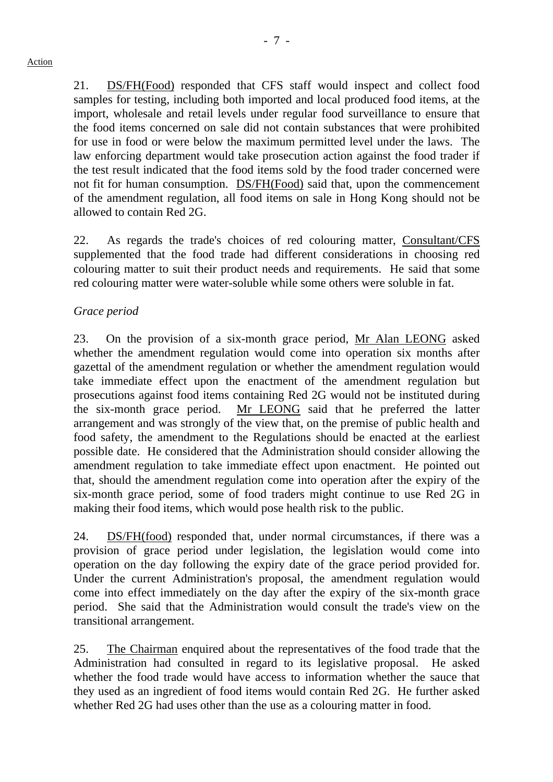21. DS/FH(Food) responded that CFS staff would inspect and collect food samples for testing, including both imported and local produced food items, at the import, wholesale and retail levels under regular food surveillance to ensure that the food items concerned on sale did not contain substances that were prohibited for use in food or were below the maximum permitted level under the laws. The law enforcing department would take prosecution action against the food trader if the test result indicated that the food items sold by the food trader concerned were not fit for human consumption. DS/FH(Food) said that, upon the commencement of the amendment regulation, all food items on sale in Hong Kong should not be allowed to contain Red 2G.

22. As regards the trade's choices of red colouring matter, Consultant/CFS supplemented that the food trade had different considerations in choosing red colouring matter to suit their product needs and requirements. He said that some red colouring matter were water-soluble while some others were soluble in fat.

#### *Grace period*

23. On the provision of a six-month grace period, Mr Alan LEONG asked whether the amendment regulation would come into operation six months after gazettal of the amendment regulation or whether the amendment regulation would take immediate effect upon the enactment of the amendment regulation but prosecutions against food items containing Red 2G would not be instituted during the six-month grace period. Mr LEONG said that he preferred the latter arrangement and was strongly of the view that, on the premise of public health and food safety, the amendment to the Regulations should be enacted at the earliest possible date. He considered that the Administration should consider allowing the amendment regulation to take immediate effect upon enactment. He pointed out that, should the amendment regulation come into operation after the expiry of the six-month grace period, some of food traders might continue to use Red 2G in making their food items, which would pose health risk to the public.

24. DS/FH(food) responded that, under normal circumstances, if there was a provision of grace period under legislation, the legislation would come into operation on the day following the expiry date of the grace period provided for. Under the current Administration's proposal, the amendment regulation would come into effect immediately on the day after the expiry of the six-month grace period. She said that the Administration would consult the trade's view on the transitional arrangement.

25. The Chairman enquired about the representatives of the food trade that the Administration had consulted in regard to its legislative proposal. He asked whether the food trade would have access to information whether the sauce that they used as an ingredient of food items would contain Red 2G. He further asked whether Red 2G had uses other than the use as a colouring matter in food.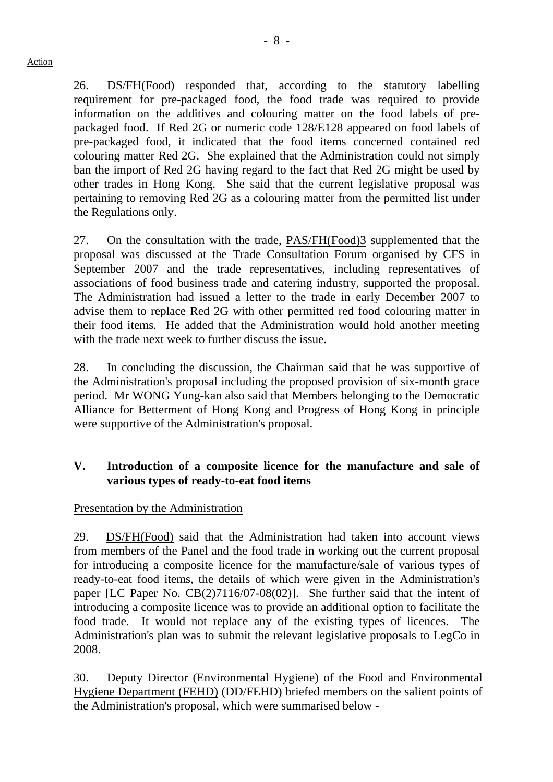26. DS/FH(Food) responded that, according to the statutory labelling requirement for pre-packaged food, the food trade was required to provide information on the additives and colouring matter on the food labels of prepackaged food. If Red 2G or numeric code 128/E128 appeared on food labels of pre-packaged food, it indicated that the food items concerned contained red colouring matter Red 2G. She explained that the Administration could not simply ban the import of Red 2G having regard to the fact that Red 2G might be used by other trades in Hong Kong. She said that the current legislative proposal was pertaining to removing Red 2G as a colouring matter from the permitted list under the Regulations only.

27. On the consultation with the trade, PAS/FH(Food)3 supplemented that the proposal was discussed at the Trade Consultation Forum organised by CFS in September 2007 and the trade representatives, including representatives of associations of food business trade and catering industry, supported the proposal. The Administration had issued a letter to the trade in early December 2007 to advise them to replace Red 2G with other permitted red food colouring matter in their food items. He added that the Administration would hold another meeting with the trade next week to further discuss the issue.

28. In concluding the discussion, the Chairman said that he was supportive of the Administration's proposal including the proposed provision of six-month grace period. Mr WONG Yung-kan also said that Members belonging to the Democratic Alliance for Betterment of Hong Kong and Progress of Hong Kong in principle were supportive of the Administration's proposal.

## **V. Introduction of a composite licence for the manufacture and sale of various types of ready-to-eat food items**

### Presentation by the Administration

29. DS/FH(Food) said that the Administration had taken into account views from members of the Panel and the food trade in working out the current proposal for introducing a composite licence for the manufacture/sale of various types of ready-to-eat food items, the details of which were given in the Administration's paper [LC Paper No. CB(2)7116/07-08(02)]. She further said that the intent of introducing a composite licence was to provide an additional option to facilitate the food trade. It would not replace any of the existing types of licences. The Administration's plan was to submit the relevant legislative proposals to LegCo in 2008.

30. Deputy Director (Environmental Hygiene) of the Food and Environmental Hygiene Department (FEHD) (DD/FEHD) briefed members on the salient points of the Administration's proposal, which were summarised below -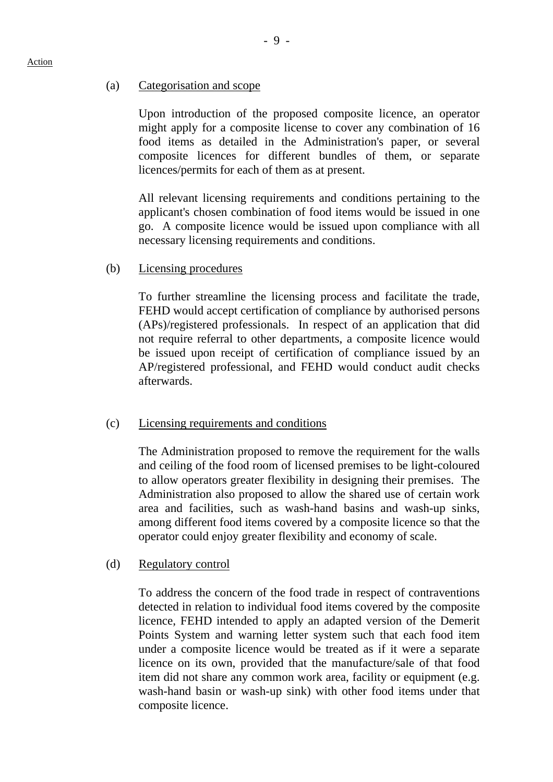#### (a) Categorisation and scope

Upon introduction of the proposed composite licence, an operator might apply for a composite license to cover any combination of 16 food items as detailed in the Administration's paper, or several composite licences for different bundles of them, or separate licences/permits for each of them as at present.

All relevant licensing requirements and conditions pertaining to the applicant's chosen combination of food items would be issued in one go. A composite licence would be issued upon compliance with all necessary licensing requirements and conditions.

#### (b) Licensing procedures

 To further streamline the licensing process and facilitate the trade, FEHD would accept certification of compliance by authorised persons (APs)/registered professionals. In respect of an application that did not require referral to other departments, a composite licence would be issued upon receipt of certification of compliance issued by an AP/registered professional, and FEHD would conduct audit checks afterwards.

### (c) Licensing requirements and conditions

The Administration proposed to remove the requirement for the walls and ceiling of the food room of licensed premises to be light-coloured to allow operators greater flexibility in designing their premises. The Administration also proposed to allow the shared use of certain work area and facilities, such as wash-hand basins and wash-up sinks, among different food items covered by a composite licence so that the operator could enjoy greater flexibility and economy of scale.

### (d) Regulatory control

 To address the concern of the food trade in respect of contraventions detected in relation to individual food items covered by the composite licence, FEHD intended to apply an adapted version of the Demerit Points System and warning letter system such that each food item under a composite licence would be treated as if it were a separate licence on its own, provided that the manufacture/sale of that food item did not share any common work area, facility or equipment (e.g. wash-hand basin or wash-up sink) with other food items under that composite licence.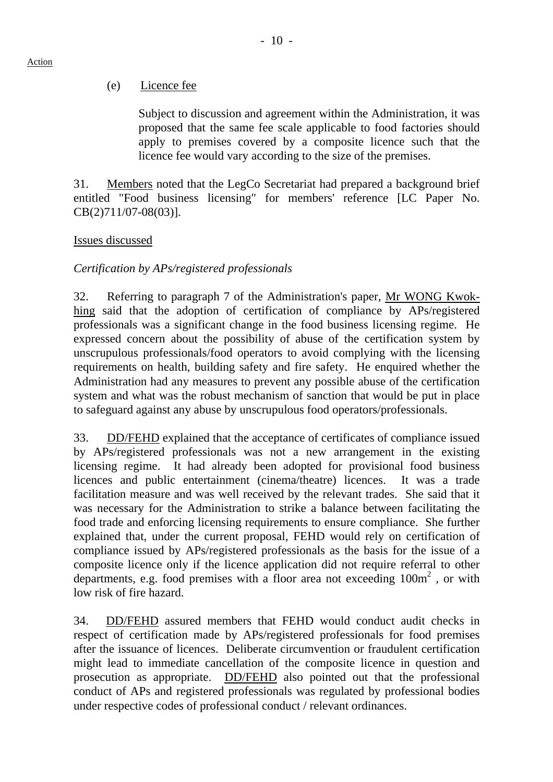### (e) Licence fee

 Subject to discussion and agreement within the Administration, it was proposed that the same fee scale applicable to food factories should apply to premises covered by a composite licence such that the licence fee would vary according to the size of the premises.

31. Members noted that the LegCo Secretariat had prepared a background brief entitled "Food business licensing" for members' reference [LC Paper No. CB(2)711/07-08(03)].

#### Issues discussed

### *Certification by APs/registered professionals*

32. Referring to paragraph 7 of the Administration's paper, Mr WONG Kwokhing said that the adoption of certification of compliance by APs/registered professionals was a significant change in the food business licensing regime. He expressed concern about the possibility of abuse of the certification system by unscrupulous professionals/food operators to avoid complying with the licensing requirements on health, building safety and fire safety. He enquired whether the Administration had any measures to prevent any possible abuse of the certification system and what was the robust mechanism of sanction that would be put in place to safeguard against any abuse by unscrupulous food operators/professionals.

33. DD/FEHD explained that the acceptance of certificates of compliance issued by APs/registered professionals was not a new arrangement in the existing licensing regime. It had already been adopted for provisional food business licences and public entertainment (cinema/theatre) licences. It was a trade facilitation measure and was well received by the relevant trades. She said that it was necessary for the Administration to strike a balance between facilitating the food trade and enforcing licensing requirements to ensure compliance. She further explained that, under the current proposal, FEHD would rely on certification of compliance issued by APs/registered professionals as the basis for the issue of a composite licence only if the licence application did not require referral to other departments, e.g. food premises with a floor area not exceeding  $100m^2$ , or with low risk of fire hazard.

34. DD/FEHD assured members that FEHD would conduct audit checks in respect of certification made by APs/registered professionals for food premises after the issuance of licences. Deliberate circumvention or fraudulent certification might lead to immediate cancellation of the composite licence in question and prosecution as appropriate. DD/FEHD also pointed out that the professional conduct of APs and registered professionals was regulated by professional bodies under respective codes of professional conduct / relevant ordinances.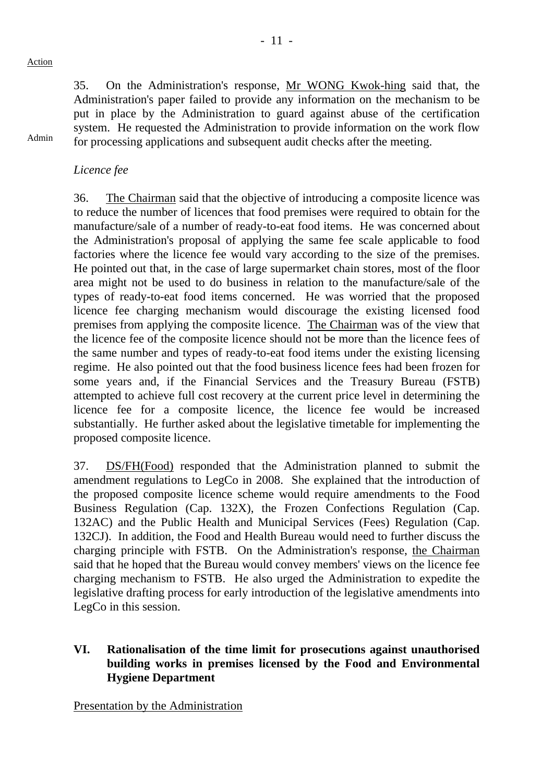Admin

35. On the Administration's response, Mr WONG Kwok-hing said that, the Administration's paper failed to provide any information on the mechanism to be put in place by the Administration to guard against abuse of the certification system. He requested the Administration to provide information on the work flow for processing applications and subsequent audit checks after the meeting.

*Licence fee* 

36. The Chairman said that the objective of introducing a composite licence was to reduce the number of licences that food premises were required to obtain for the manufacture/sale of a number of ready-to-eat food items. He was concerned about the Administration's proposal of applying the same fee scale applicable to food factories where the licence fee would vary according to the size of the premises. He pointed out that, in the case of large supermarket chain stores, most of the floor area might not be used to do business in relation to the manufacture/sale of the types of ready-to-eat food items concerned. He was worried that the proposed licence fee charging mechanism would discourage the existing licensed food premises from applying the composite licence. The Chairman was of the view that the licence fee of the composite licence should not be more than the licence fees of the same number and types of ready-to-eat food items under the existing licensing regime. He also pointed out that the food business licence fees had been frozen for some years and, if the Financial Services and the Treasury Bureau (FSTB) attempted to achieve full cost recovery at the current price level in determining the licence fee for a composite licence, the licence fee would be increased substantially. He further asked about the legislative timetable for implementing the proposed composite licence.

37. DS/FH(Food) responded that the Administration planned to submit the amendment regulations to LegCo in 2008. She explained that the introduction of the proposed composite licence scheme would require amendments to the Food Business Regulation (Cap. 132X), the Frozen Confections Regulation (Cap. 132AC) and the Public Health and Municipal Services (Fees) Regulation (Cap. 132CJ). In addition, the Food and Health Bureau would need to further discuss the charging principle with FSTB. On the Administration's response, the Chairman said that he hoped that the Bureau would convey members' views on the licence fee charging mechanism to FSTB. He also urged the Administration to expedite the legislative drafting process for early introduction of the legislative amendments into LegCo in this session.

### **VI. Rationalisation of the time limit for prosecutions against unauthorised building works in premises licensed by the Food and Environmental Hygiene Department**

Presentation by the Administration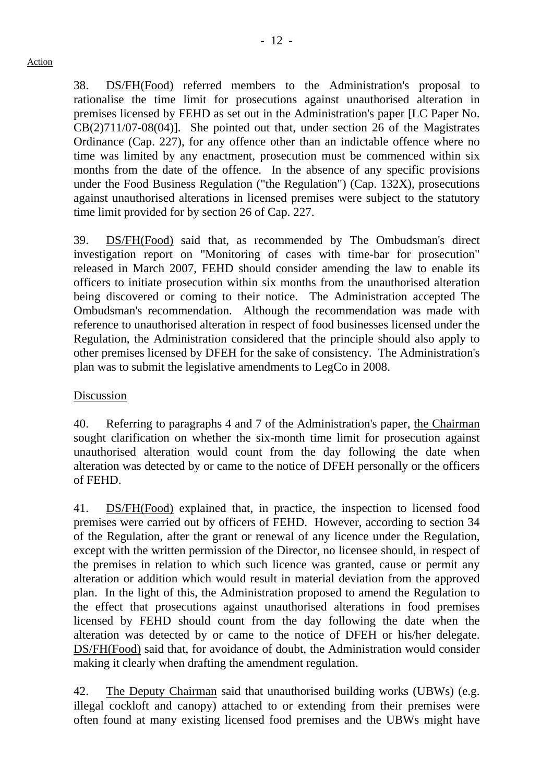38. DS/FH(Food) referred members to the Administration's proposal to rationalise the time limit for prosecutions against unauthorised alteration in premises licensed by FEHD as set out in the Administration's paper [LC Paper No. CB(2)711/07-08(04)]. She pointed out that, under section 26 of the Magistrates Ordinance (Cap. 227), for any offence other than an indictable offence where no time was limited by any enactment, prosecution must be commenced within six months from the date of the offence. In the absence of any specific provisions under the Food Business Regulation ("the Regulation") (Cap. 132X), prosecutions against unauthorised alterations in licensed premises were subject to the statutory time limit provided for by section 26 of Cap. 227.

39. DS/FH(Food) said that, as recommended by The Ombudsman's direct investigation report on "Monitoring of cases with time-bar for prosecution" released in March 2007, FEHD should consider amending the law to enable its officers to initiate prosecution within six months from the unauthorised alteration being discovered or coming to their notice. The Administration accepted The Ombudsman's recommendation. Although the recommendation was made with reference to unauthorised alteration in respect of food businesses licensed under the Regulation, the Administration considered that the principle should also apply to other premises licensed by DFEH for the sake of consistency. The Administration's plan was to submit the legislative amendments to LegCo in 2008.

### Discussion

40. Referring to paragraphs 4 and 7 of the Administration's paper, the Chairman sought clarification on whether the six-month time limit for prosecution against unauthorised alteration would count from the day following the date when alteration was detected by or came to the notice of DFEH personally or the officers of FEHD.

41. DS/FH(Food) explained that, in practice, the inspection to licensed food premises were carried out by officers of FEHD. However, according to section 34 of the Regulation, after the grant or renewal of any licence under the Regulation, except with the written permission of the Director, no licensee should, in respect of the premises in relation to which such licence was granted, cause or permit any alteration or addition which would result in material deviation from the approved plan. In the light of this, the Administration proposed to amend the Regulation to the effect that prosecutions against unauthorised alterations in food premises licensed by FEHD should count from the day following the date when the alteration was detected by or came to the notice of DFEH or his/her delegate. DS/FH(Food) said that, for avoidance of doubt, the Administration would consider making it clearly when drafting the amendment regulation.

42. The Deputy Chairman said that unauthorised building works (UBWs) (e.g. illegal cockloft and canopy) attached to or extending from their premises were often found at many existing licensed food premises and the UBWs might have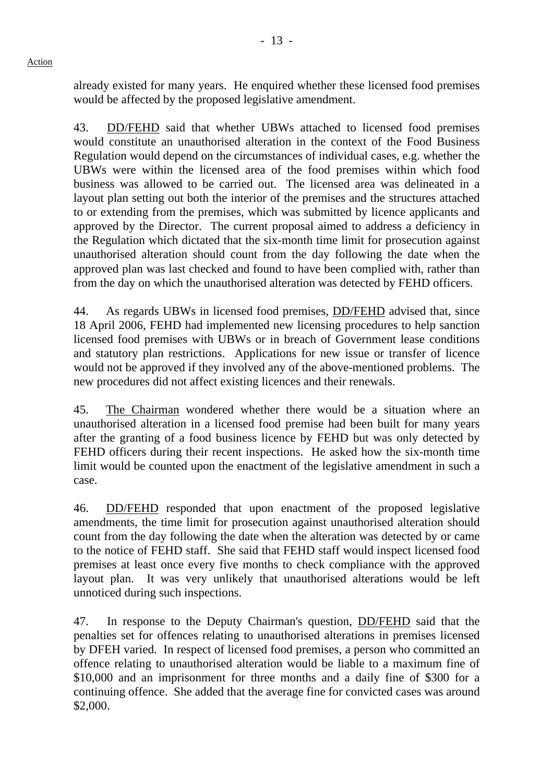already existed for many years. He enquired whether these licensed food premises would be affected by the proposed legislative amendment.

43. DD/FEHD said that whether UBWs attached to licensed food premises would constitute an unauthorised alteration in the context of the Food Business Regulation would depend on the circumstances of individual cases, e.g. whether the UBWs were within the licensed area of the food premises within which food business was allowed to be carried out. The licensed area was delineated in a layout plan setting out both the interior of the premises and the structures attached to or extending from the premises, which was submitted by licence applicants and approved by the Director. The current proposal aimed to address a deficiency in the Regulation which dictated that the six-month time limit for prosecution against unauthorised alteration should count from the day following the date when the approved plan was last checked and found to have been complied with, rather than from the day on which the unauthorised alteration was detected by FEHD officers.

44. As regards UBWs in licensed food premises, DD/FEHD advised that, since 18 April 2006, FEHD had implemented new licensing procedures to help sanction licensed food premises with UBWs or in breach of Government lease conditions and statutory plan restrictions. Applications for new issue or transfer of licence would not be approved if they involved any of the above-mentioned problems. The new procedures did not affect existing licences and their renewals.

45. The Chairman wondered whether there would be a situation where an unauthorised alteration in a licensed food premise had been built for many years after the granting of a food business licence by FEHD but was only detected by FEHD officers during their recent inspections. He asked how the six-month time limit would be counted upon the enactment of the legislative amendment in such a case.

46. DD/FEHD responded that upon enactment of the proposed legislative amendments, the time limit for prosecution against unauthorised alteration should count from the day following the date when the alteration was detected by or came to the notice of FEHD staff. She said that FEHD staff would inspect licensed food premises at least once every five months to check compliance with the approved layout plan. It was very unlikely that unauthorised alterations would be left unnoticed during such inspections.

47. In response to the Deputy Chairman's question, DD/FEHD said that the penalties set for offences relating to unauthorised alterations in premises licensed by DFEH varied. In respect of licensed food premises, a person who committed an offence relating to unauthorised alteration would be liable to a maximum fine of \$10,000 and an imprisonment for three months and a daily fine of \$300 for a continuing offence. She added that the average fine for convicted cases was around \$2,000.